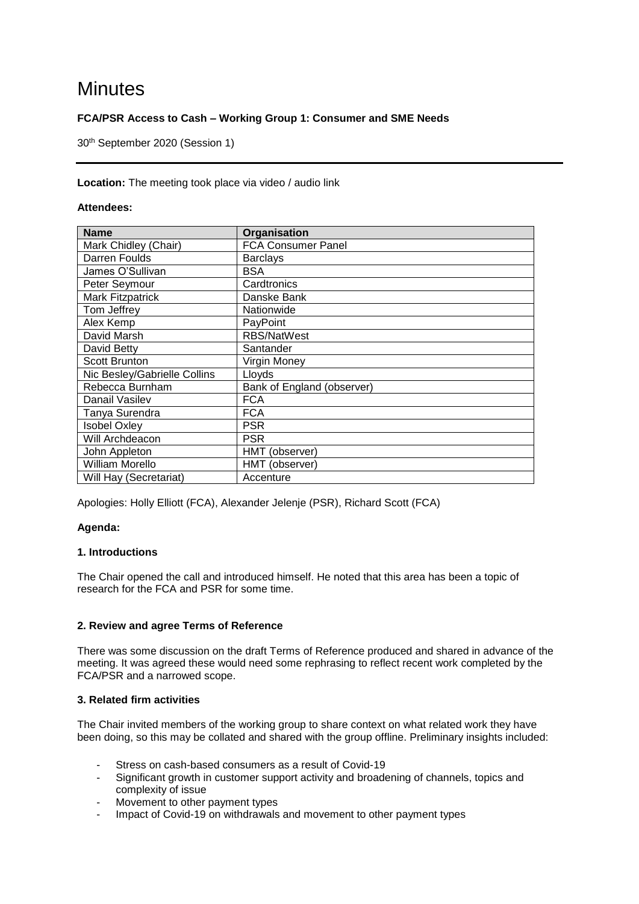# **Minutes**

# **FCA/PSR Access to Cash – Working Group 1: Consumer and SME Needs**

30th September 2020 (Session 1)

## **Location:** The meeting took place via video / audio link

## **Attendees:**

| <b>Name</b>                  | Organisation               |
|------------------------------|----------------------------|
| Mark Chidley (Chair)         | <b>FCA Consumer Panel</b>  |
| Darren Foulds                | <b>Barclays</b>            |
| James O'Sullivan             | <b>BSA</b>                 |
| Peter Seymour                | Cardtronics                |
| <b>Mark Fitzpatrick</b>      | Danske Bank                |
| Tom Jeffrey                  | Nationwide                 |
| Alex Kemp                    | PayPoint                   |
| David Marsh                  | <b>RBS/NatWest</b>         |
| David Betty                  | Santander                  |
| <b>Scott Brunton</b>         | Virgin Money               |
| Nic Besley/Gabrielle Collins | Lloyds                     |
| Rebecca Burnham              | Bank of England (observer) |
| Danail Vasilev               | <b>FCA</b>                 |
| Tanya Surendra               | <b>FCA</b>                 |
| <b>Isobel Oxley</b>          | <b>PSR</b>                 |
| Will Archdeacon              | <b>PSR</b>                 |
| John Appleton                | HMT (observer)             |
| William Morello              | HMT (observer)             |
| Will Hay (Secretariat)       | Accenture                  |

Apologies: Holly Elliott (FCA), Alexander Jelenje (PSR), Richard Scott (FCA)

# **Agenda:**

#### **1. Introductions**

The Chair opened the call and introduced himself. He noted that this area has been a topic of research for the FCA and PSR for some time.

# **2. Review and agree Terms of Reference**

There was some discussion on the draft Terms of Reference produced and shared in advance of the meeting. It was agreed these would need some rephrasing to reflect recent work completed by the FCA/PSR and a narrowed scope.

# **3. Related firm activities**

The Chair invited members of the working group to share context on what related work they have been doing, so this may be collated and shared with the group offline. Preliminary insights included:

- Stress on cash-based consumers as a result of Covid-19
- Significant growth in customer support activity and broadening of channels, topics and complexity of issue
- Movement to other payment types
- Impact of Covid-19 on withdrawals and movement to other payment types